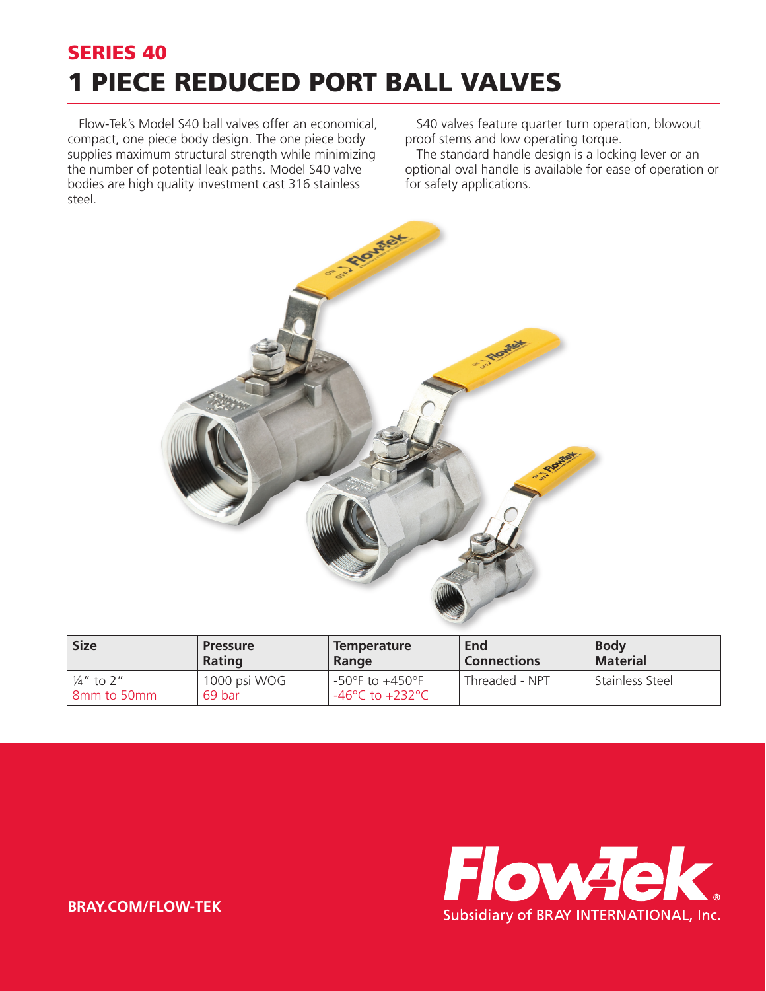## SERIES 40 1 PIECE REDUCED PORT BALL VALVES

Flow-Tek's Model S40 ball valves offer an economical, compact, one piece body design. The one piece body supplies maximum structural strength while minimizing the number of potential leak paths. Model S40 valve bodies are high quality investment cast 316 stainless steel.

S40 valves feature quarter turn operation, blowout proof stems and low operating torque.

The standard handle design is a locking lever or an optional oval handle is available for ease of operation or for safety applications.



| <b>Size</b>                            | <b>Pressure</b>        | <b>Temperature</b>                                                         | End                | <b>Body</b>     |
|----------------------------------------|------------------------|----------------------------------------------------------------------------|--------------------|-----------------|
|                                        | <b>Rating</b>          | Range                                                                      | <b>Connections</b> | <b>Material</b> |
| $\frac{1}{4}$ " to 2"<br>I 8mm to 50mm | 1000 psi WOG<br>69 bar | $-50^{\circ}$ F to $+450^{\circ}$ F<br>$-46^{\circ}$ C to $+232^{\circ}$ C | Threaded - NPT     | Stainless Steel |



**BRAY.COM/FLOW-TEK**